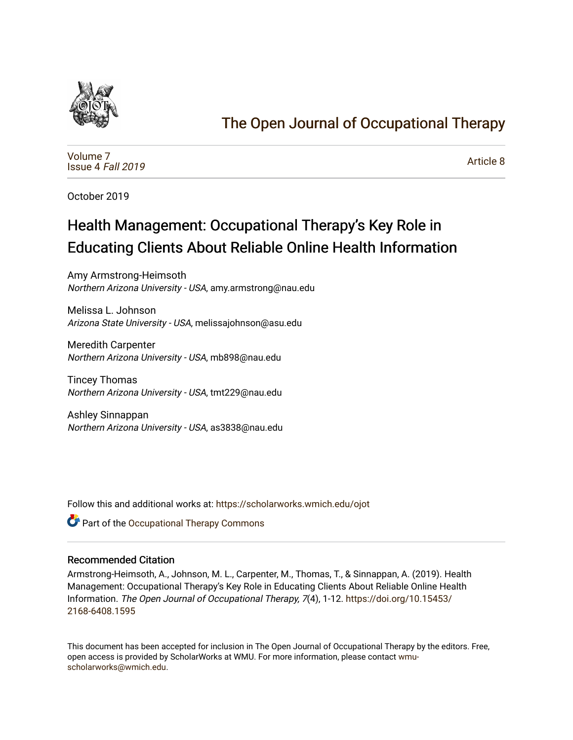

# [The Open Journal of Occupational Therapy](https://scholarworks.wmich.edu/ojot)

[Volume 7](https://scholarworks.wmich.edu/ojot/vol7) [Issue 4](https://scholarworks.wmich.edu/ojot/vol7/iss4) Fall 2019

[Article 8](https://scholarworks.wmich.edu/ojot/vol7/iss4/8) 

October 2019

# Health Management: Occupational Therapy's Key Role in Educating Clients About Reliable Online Health Information

Amy Armstrong-Heimsoth Northern Arizona University - USA, amy.armstrong@nau.edu

Melissa L. Johnson Arizona State University - USA, melissajohnson@asu.edu

Meredith Carpenter Northern Arizona University - USA, mb898@nau.edu

Tincey Thomas Northern Arizona University - USA, tmt229@nau.edu

Ashley Sinnappan Northern Arizona University - USA, as3838@nau.edu

Follow this and additional works at: [https://scholarworks.wmich.edu/ojot](https://scholarworks.wmich.edu/ojot?utm_source=scholarworks.wmich.edu%2Fojot%2Fvol7%2Fiss4%2F8&utm_medium=PDF&utm_campaign=PDFCoverPages)

**C** Part of the Occupational Therapy Commons

## Recommended Citation

Armstrong-Heimsoth, A., Johnson, M. L., Carpenter, M., Thomas, T., & Sinnappan, A. (2019). Health Management: Occupational Therapy's Key Role in Educating Clients About Reliable Online Health Information. The Open Journal of Occupational Therapy, 7(4), 1-12. [https://doi.org/10.15453/](https://doi.org/10.15453/2168-6408.1595) [2168-6408.1595](https://doi.org/10.15453/2168-6408.1595) 

This document has been accepted for inclusion in The Open Journal of Occupational Therapy by the editors. Free, open access is provided by ScholarWorks at WMU. For more information, please contact [wmu](mailto:wmu-scholarworks@wmich.edu)[scholarworks@wmich.edu.](mailto:wmu-scholarworks@wmich.edu)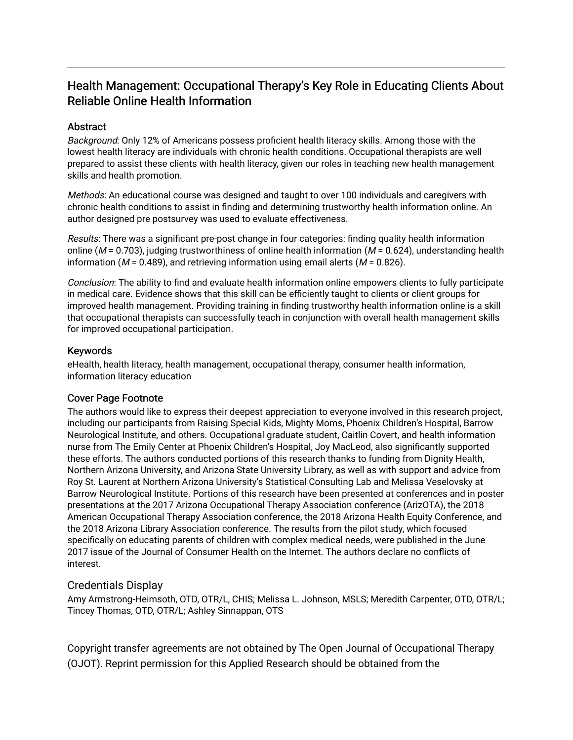# Health Management: Occupational Therapy's Key Role in Educating Clients About Reliable Online Health Information

## **Abstract**

Background: Only 12% of Americans possess proficient health literacy skills. Among those with the lowest health literacy are individuals with chronic health conditions. Occupational therapists are well prepared to assist these clients with health literacy, given our roles in teaching new health management skills and health promotion.

Methods: An educational course was designed and taught to over 100 individuals and caregivers with chronic health conditions to assist in finding and determining trustworthy health information online. An author designed pre postsurvey was used to evaluate effectiveness.

Results: There was a significant pre-post change in four categories: finding quality health information online ( $M = 0.703$ ), judging trustworthiness of online health information ( $M = 0.624$ ), understanding health information ( $M = 0.489$ ), and retrieving information using email alerts ( $M = 0.826$ ).

Conclusion: The ability to find and evaluate health information online empowers clients to fully participate in medical care. Evidence shows that this skill can be efficiently taught to clients or client groups for improved health management. Providing training in finding trustworthy health information online is a skill that occupational therapists can successfully teach in conjunction with overall health management skills for improved occupational participation.

## Keywords

eHealth, health literacy, health management, occupational therapy, consumer health information, information literacy education

## Cover Page Footnote

The authors would like to express their deepest appreciation to everyone involved in this research project, including our participants from Raising Special Kids, Mighty Moms, Phoenix Children's Hospital, Barrow Neurological Institute, and others. Occupational graduate student, Caitlin Covert, and health information nurse from The Emily Center at Phoenix Children's Hospital, Joy MacLeod, also significantly supported these efforts. The authors conducted portions of this research thanks to funding from Dignity Health, Northern Arizona University, and Arizona State University Library, as well as with support and advice from Roy St. Laurent at Northern Arizona University's Statistical Consulting Lab and Melissa Veselovsky at Barrow Neurological Institute. Portions of this research have been presented at conferences and in poster presentations at the 2017 Arizona Occupational Therapy Association conference (ArizOTA), the 2018 American Occupational Therapy Association conference, the 2018 Arizona Health Equity Conference, and the 2018 Arizona Library Association conference. The results from the pilot study, which focused specifically on educating parents of children with complex medical needs, were published in the June 2017 issue of the Journal of Consumer Health on the Internet. The authors declare no conflicts of interest.

## Credentials Display

Amy Armstrong-Heimsoth, OTD, OTR/L, CHIS; Melissa L. Johnson, MSLS; Meredith Carpenter, OTD, OTR/L; Tincey Thomas, OTD, OTR/L; Ashley Sinnappan, OTS

Copyright transfer agreements are not obtained by The Open Journal of Occupational Therapy (OJOT). Reprint permission for this Applied Research should be obtained from the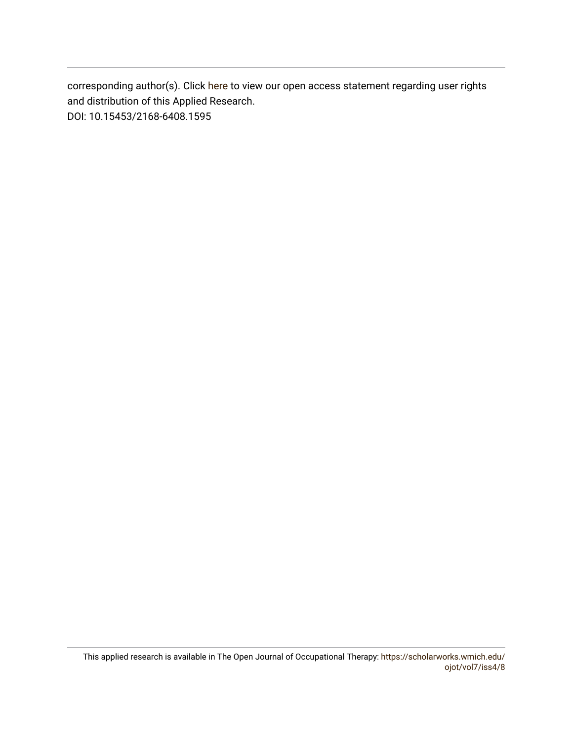corresponding author(s). Click [here](https://scholarworks.wmich.edu/ojot/policies.html#rights) to view our open access statement regarding user rights and distribution of this Applied Research. DOI: 10.15453/2168-6408.1595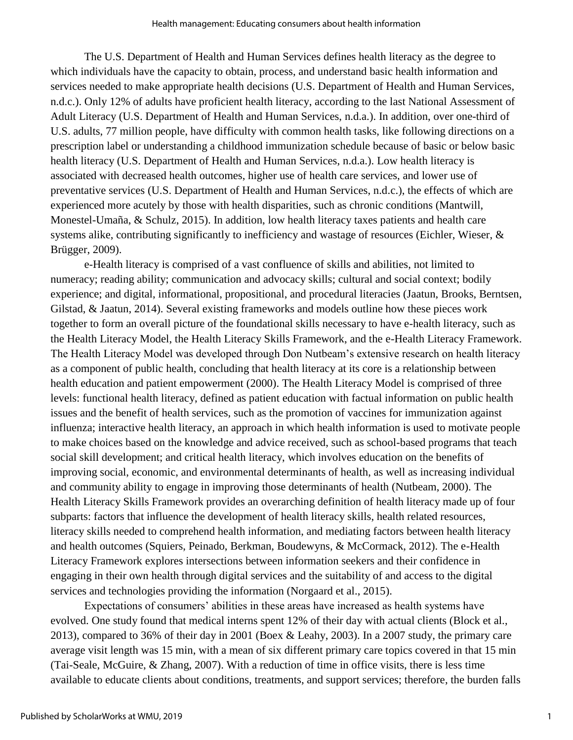The U.S. Department of Health and Human Services defines health literacy as the degree to which individuals have the capacity to obtain, process, and understand basic health information and services needed to make appropriate health decisions (U.S. Department of Health and Human Services, n.d.c.). Only 12% of adults have proficient health literacy, according to the last National Assessment of Adult Literacy (U.S. Department of Health and Human Services, n.d.a.). In addition, over one-third of U.S. adults, 77 million people, have difficulty with common health tasks, like following directions on a prescription label or understanding a childhood immunization schedule because of basic or below basic health literacy (U.S. Department of Health and Human Services, n.d.a.). Low health literacy is associated with decreased health outcomes, higher use of health care services, and lower use of preventative services (U.S. Department of Health and Human Services, n.d.c.), the effects of which are experienced more acutely by those with health disparities, such as chronic conditions (Mantwill, Monestel-Umaña, & Schulz, 2015). In addition, low health literacy taxes patients and health care systems alike, contributing significantly to inefficiency and wastage of resources (Eichler, Wieser, & Brügger, 2009).

e-Health literacy is comprised of a vast confluence of skills and abilities, not limited to numeracy; reading ability; communication and advocacy skills; cultural and social context; bodily experience; and digital, informational, propositional, and procedural literacies (Jaatun, Brooks, Berntsen, Gilstad, & Jaatun, 2014). Several existing frameworks and models outline how these pieces work together to form an overall picture of the foundational skills necessary to have e-health literacy, such as the Health Literacy Model, the Health Literacy Skills Framework, and the e-Health Literacy Framework. The Health Literacy Model was developed through Don Nutbeam's extensive research on health literacy as a component of public health, concluding that health literacy at its core is a relationship between health education and patient empowerment (2000). The Health Literacy Model is comprised of three levels: functional health literacy, defined as patient education with factual information on public health issues and the benefit of health services, such as the promotion of vaccines for immunization against influenza; interactive health literacy, an approach in which health information is used to motivate people to make choices based on the knowledge and advice received, such as school-based programs that teach social skill development; and critical health literacy, which involves education on the benefits of improving social, economic, and environmental determinants of health, as well as increasing individual and community ability to engage in improving those determinants of health (Nutbeam, 2000). The Health Literacy Skills Framework provides an overarching definition of health literacy made up of four subparts: factors that influence the development of health literacy skills, health related resources, literacy skills needed to comprehend health information, and mediating factors between health literacy and health outcomes (Squiers, Peinado, Berkman, Boudewyns, & McCormack, 2012). The e-Health Literacy Framework explores intersections between information seekers and their confidence in engaging in their own health through digital services and the suitability of and access to the digital services and technologies providing the information (Norgaard et al., 2015).

Expectations of consumers' abilities in these areas have increased as health systems have evolved. One study found that medical interns spent 12% of their day with actual clients (Block et al., 2013), compared to 36% of their day in 2001 (Boex & Leahy, 2003). In a 2007 study, the primary care average visit length was 15 min, with a mean of six different primary care topics covered in that 15 min (Tai-Seale, McGuire, & Zhang, 2007). With a reduction of time in office visits, there is less time available to educate clients about conditions, treatments, and support services; therefore, the burden falls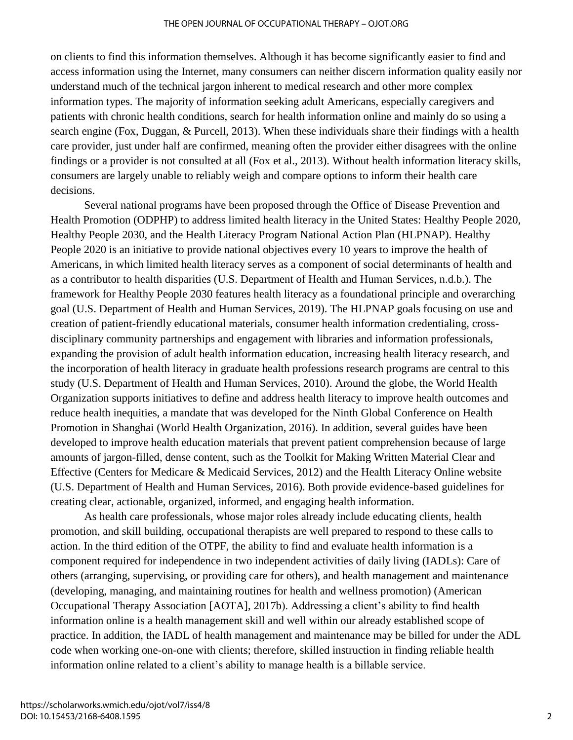on clients to find this information themselves. Although it has become significantly easier to find and access information using the Internet, many consumers can neither discern information quality easily nor understand much of the technical jargon inherent to medical research and other more complex information types. The majority of information seeking adult Americans, especially caregivers and patients with chronic health conditions, search for health information online and mainly do so using a search engine (Fox, Duggan, & Purcell, 2013). When these individuals share their findings with a health care provider, just under half are confirmed, meaning often the provider either disagrees with the online findings or a provider is not consulted at all (Fox et al., 2013). Without health information literacy skills, consumers are largely unable to reliably weigh and compare options to inform their health care decisions.

Several national programs have been proposed through the Office of Disease Prevention and Health Promotion (ODPHP) to address limited health literacy in the United States: Healthy People 2020, Healthy People 2030, and the Health Literacy Program National Action Plan (HLPNAP). Healthy People 2020 is an initiative to provide national objectives every 10 years to improve the health of Americans, in which limited health literacy serves as a component of social determinants of health and as a contributor to health disparities (U.S. Department of Health and Human Services, n.d.b.). The framework for Healthy People 2030 features health literacy as a foundational principle and overarching goal (U.S. Department of Health and Human Services, 2019). The HLPNAP goals focusing on use and creation of patient-friendly educational materials, consumer health information credentialing, crossdisciplinary community partnerships and engagement with libraries and information professionals, expanding the provision of adult health information education, increasing health literacy research, and the incorporation of health literacy in graduate health professions research programs are central to this study (U.S. Department of Health and Human Services, 2010). Around the globe, the World Health Organization supports initiatives to define and address health literacy to improve health outcomes and reduce health inequities, a mandate that was developed for the Ninth Global Conference on Health Promotion in Shanghai (World Health Organization, 2016). In addition, several guides have been developed to improve health education materials that prevent patient comprehension because of large amounts of jargon-filled, dense content, such as the Toolkit for Making Written Material Clear and Effective (Centers for Medicare & Medicaid Services, 2012) and the Health Literacy Online website (U.S. Department of Health and Human Services, 2016). Both provide evidence-based guidelines for creating clear, actionable, organized, informed, and engaging health information.

As health care professionals, whose major roles already include educating clients, health promotion, and skill building, occupational therapists are well prepared to respond to these calls to action. In the third edition of the OTPF, the ability to find and evaluate health information is a component required for independence in two independent activities of daily living (IADLs): Care of others (arranging, supervising, or providing care for others), and health management and maintenance (developing, managing, and maintaining routines for health and wellness promotion) (American Occupational Therapy Association [AOTA], 2017b). Addressing a client's ability to find health information online is a health management skill and well within our already established scope of practice. In addition, the IADL of health management and maintenance may be billed for under the ADL code when working one-on-one with clients; therefore, skilled instruction in finding reliable health information online related to a client's ability to manage health is a billable service.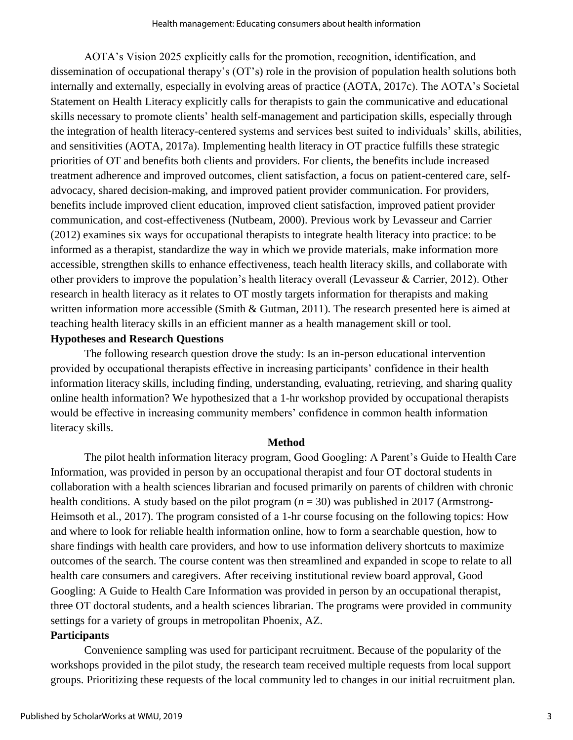AOTA's Vision 2025 explicitly calls for the promotion, recognition, identification, and dissemination of occupational therapy's (OT's) role in the provision of population health solutions both internally and externally, especially in evolving areas of practice (AOTA, 2017c). The AOTA's Societal Statement on Health Literacy explicitly calls for therapists to gain the communicative and educational skills necessary to promote clients' health self-management and participation skills, especially through the integration of health literacy-centered systems and services best suited to individuals' skills, abilities, and sensitivities (AOTA, 2017a). Implementing health literacy in OT practice fulfills these strategic priorities of OT and benefits both clients and providers. For clients, the benefits include increased treatment adherence and improved outcomes, client satisfaction, a focus on patient-centered care, selfadvocacy, shared decision-making, and improved patient provider communication. For providers, benefits include improved client education, improved client satisfaction, improved patient provider communication, and cost-effectiveness (Nutbeam, 2000). Previous work by Levasseur and Carrier (2012) examines six ways for occupational therapists to integrate health literacy into practice: to be informed as a therapist, standardize the way in which we provide materials, make information more accessible, strengthen skills to enhance effectiveness, teach health literacy skills, and collaborate with other providers to improve the population's health literacy overall (Levasseur & Carrier, 2012). Other research in health literacy as it relates to OT mostly targets information for therapists and making written information more accessible (Smith & Gutman, 2011). The research presented here is aimed at teaching health literacy skills in an efficient manner as a health management skill or tool.

## **Hypotheses and Research Questions**

The following research question drove the study: Is an in-person educational intervention provided by occupational therapists effective in increasing participants' confidence in their health information literacy skills, including finding, understanding, evaluating, retrieving, and sharing quality online health information? We hypothesized that a 1-hr workshop provided by occupational therapists would be effective in increasing community members' confidence in common health information literacy skills.

## **Method**

The pilot health information literacy program, Good Googling: A Parent's Guide to Health Care Information, was provided in person by an occupational therapist and four OT doctoral students in collaboration with a health sciences librarian and focused primarily on parents of children with chronic health conditions. A study based on the pilot program (*n* = 30) was published in 2017 (Armstrong-Heimsoth et al., 2017). The program consisted of a 1-hr course focusing on the following topics: How and where to look for reliable health information online, how to form a searchable question, how to share findings with health care providers, and how to use information delivery shortcuts to maximize outcomes of the search. The course content was then streamlined and expanded in scope to relate to all health care consumers and caregivers. After receiving institutional review board approval, Good Googling: A Guide to Health Care Information was provided in person by an occupational therapist, three OT doctoral students, and a health sciences librarian. The programs were provided in community settings for a variety of groups in metropolitan Phoenix, AZ.

## **Participants**

Convenience sampling was used for participant recruitment. Because of the popularity of the workshops provided in the pilot study, the research team received multiple requests from local support groups. Prioritizing these requests of the local community led to changes in our initial recruitment plan.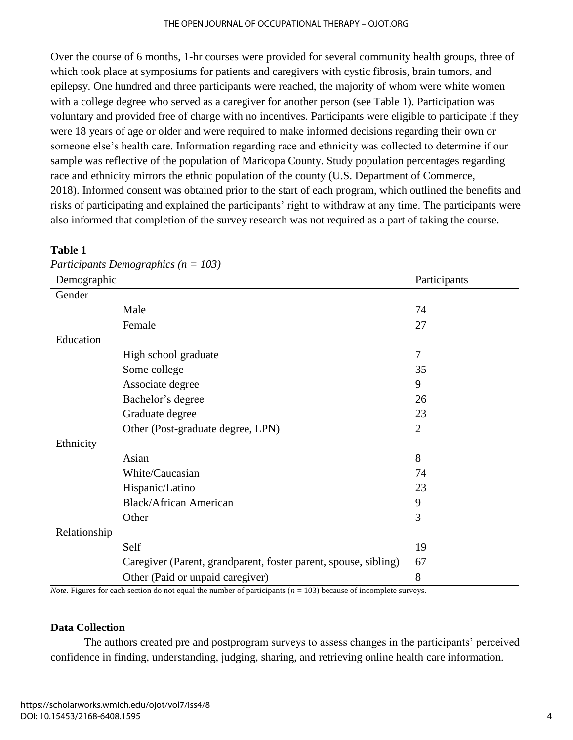#### THE OPEN JOURNAL OF OCCUPATIONAL THERAPY – OJOT.ORG

Over the course of 6 months, 1-hr courses were provided for several community health groups, three of which took place at symposiums for patients and caregivers with cystic fibrosis, brain tumors, and epilepsy. One hundred and three participants were reached, the majority of whom were white women with a college degree who served as a caregiver for another person (see Table 1). Participation was voluntary and provided free of charge with no incentives. Participants were eligible to participate if they were 18 years of age or older and were required to make informed decisions regarding their own or someone else's health care. Information regarding race and ethnicity was collected to determine if our sample was reflective of the population of Maricopa County. Study population percentages regarding race and ethnicity mirrors the ethnic population of the county (U.S. Department of Commerce, 2018). Informed consent was obtained prior to the start of each program, which outlined the benefits and risks of participating and explained the participants' right to withdraw at any time. The participants were also informed that completion of the survey research was not required as a part of taking the course.

### **Table 1**

| Participants Demographics ( $n = 103$ ) |
|-----------------------------------------|
|-----------------------------------------|

| Demographic  |                                                                 | Participants   |
|--------------|-----------------------------------------------------------------|----------------|
| Gender       |                                                                 |                |
|              | Male                                                            | 74             |
|              | Female                                                          | 27             |
| Education    |                                                                 |                |
|              | High school graduate                                            | $\overline{7}$ |
|              | Some college                                                    | 35             |
|              | Associate degree                                                | 9              |
|              | Bachelor's degree                                               | 26             |
|              | Graduate degree                                                 | 23             |
|              | Other (Post-graduate degree, LPN)                               | $\overline{2}$ |
| Ethnicity    |                                                                 |                |
|              | Asian                                                           | 8              |
|              | White/Caucasian                                                 | 74             |
|              | Hispanic/Latino                                                 | 23             |
|              | <b>Black/African American</b>                                   | 9              |
|              | Other                                                           | 3              |
| Relationship |                                                                 |                |
|              | Self                                                            | 19             |
|              | Caregiver (Parent, grandparent, foster parent, spouse, sibling) | 67             |
|              | Other (Paid or unpaid caregiver)                                | 8              |

*Note*. Figures for each section do not equal the number of participants (*n* = 103) because of incomplete surveys.

## **Data Collection**

The authors created pre and postprogram surveys to assess changes in the participants' perceived confidence in finding, understanding, judging, sharing, and retrieving online health care information.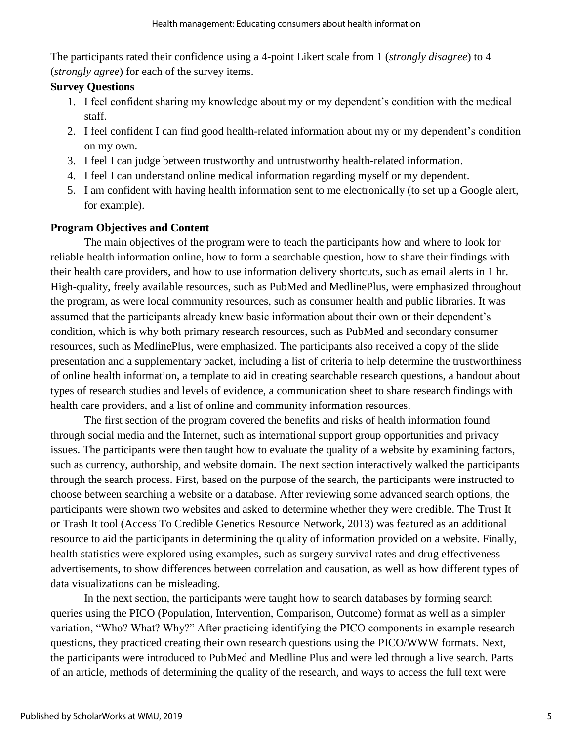The participants rated their confidence using a 4-point Likert scale from 1 (*strongly disagree*) to 4 (*strongly agree*) for each of the survey items.

# **Survey Questions**

- 1. I feel confident sharing my knowledge about my or my dependent's condition with the medical staff.
- 2. I feel confident I can find good health-related information about my or my dependent's condition on my own.
- 3. I feel I can judge between trustworthy and untrustworthy health-related information.
- 4. I feel I can understand online medical information regarding myself or my dependent.
- 5. I am confident with having health information sent to me electronically (to set up a Google alert, for example).

# **Program Objectives and Content**

The main objectives of the program were to teach the participants how and where to look for reliable health information online, how to form a searchable question, how to share their findings with their health care providers, and how to use information delivery shortcuts, such as email alerts in 1 hr. High-quality, freely available resources, such as PubMed and MedlinePlus, were emphasized throughout the program, as were local community resources, such as consumer health and public libraries. It was assumed that the participants already knew basic information about their own or their dependent's condition, which is why both primary research resources, such as PubMed and secondary consumer resources, such as MedlinePlus, were emphasized. The participants also received a copy of the slide presentation and a supplementary packet, including a list of criteria to help determine the trustworthiness of online health information, a template to aid in creating searchable research questions, a handout about types of research studies and levels of evidence, a communication sheet to share research findings with health care providers, and a list of online and community information resources.

The first section of the program covered the benefits and risks of health information found through social media and the Internet, such as international support group opportunities and privacy issues. The participants were then taught how to evaluate the quality of a website by examining factors, such as currency, authorship, and website domain. The next section interactively walked the participants through the search process. First, based on the purpose of the search, the participants were instructed to choose between searching a website or a database. After reviewing some advanced search options, the participants were shown two websites and asked to determine whether they were credible. The Trust It or Trash It tool (Access To Credible Genetics Resource Network, 2013) was featured as an additional resource to aid the participants in determining the quality of information provided on a website. Finally, health statistics were explored using examples, such as surgery survival rates and drug effectiveness advertisements, to show differences between correlation and causation, as well as how different types of data visualizations can be misleading.

In the next section, the participants were taught how to search databases by forming search queries using the PICO (Population, Intervention, Comparison, Outcome) format as well as a simpler variation, "Who? What? Why?" After practicing identifying the PICO components in example research questions, they practiced creating their own research questions using the PICO/WWW formats. Next, the participants were introduced to PubMed and Medline Plus and were led through a live search. Parts of an article, methods of determining the quality of the research, and ways to access the full text were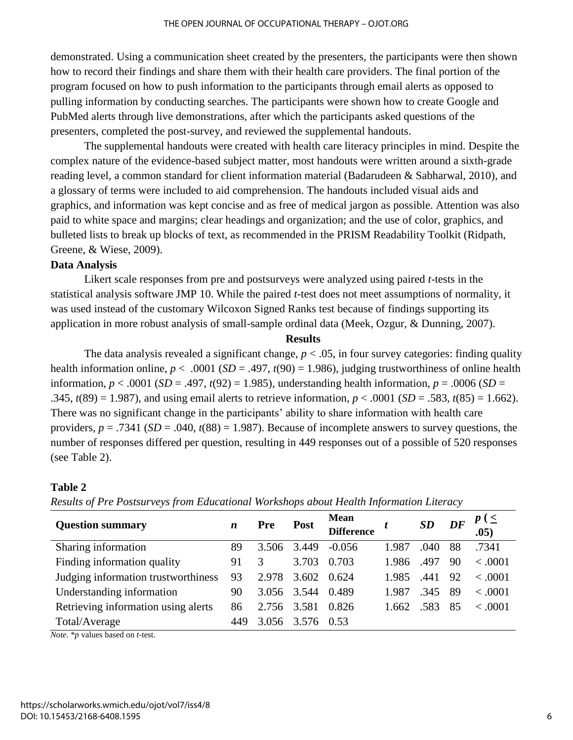demonstrated. Using a communication sheet created by the presenters, the participants were then shown how to record their findings and share them with their health care providers. The final portion of the program focused on how to push information to the participants through email alerts as opposed to pulling information by conducting searches. The participants were shown how to create Google and PubMed alerts through live demonstrations, after which the participants asked questions of the presenters, completed the post-survey, and reviewed the supplemental handouts.

The supplemental handouts were created with health care literacy principles in mind. Despite the complex nature of the evidence-based subject matter, most handouts were written around a sixth-grade reading level, a common standard for client information material (Badarudeen & Sabharwal, 2010), and a glossary of terms were included to aid comprehension. The handouts included visual aids and graphics, and information was kept concise and as free of medical jargon as possible. Attention was also paid to white space and margins; clear headings and organization; and the use of color, graphics, and bulleted lists to break up blocks of text, as recommended in the PRISM Readability Toolkit (Ridpath, Greene, & Wiese, 2009).

## **Data Analysis**

Likert scale responses from pre and postsurveys were analyzed using paired *t-*tests in the statistical analysis software JMP 10. While the paired *t*-test does not meet assumptions of normality, it was used instead of the customary Wilcoxon Signed Ranks test because of findings supporting its application in more robust analysis of small-sample ordinal data (Meek, Ozgur, & Dunning, 2007).

## **Results**

The data analysis revealed a significant change,  $p < .05$ , in four survey categories: finding quality health information online,  $p < .0001$  (*SD* = .497,  $t(90) = 1.986$ ), judging trustworthiness of online health information,  $p < .0001$  (*SD* = .497,  $t(92) = 1.985$ ), understanding health information,  $p = .0006$  (*SD* = .345,  $t(89) = 1.987$ , and using email alerts to retrieve information,  $p < .0001$  (*SD* = .583,  $t(85) = 1.662$ ). There was no significant change in the participants' ability to share information with health care providers, *p* = .7341 (*SD* = .040, *t*(88) = 1.987). Because of incomplete answers to survey questions, the number of responses differed per question, resulting in 449 responses out of a possible of 520 responses (see Table 2).

## **Table 2**

| <b>Question summary</b>             | $\boldsymbol{n}$ | Pre   | <b>Post</b> | Mean<br><b>Difference</b> |       | SD   | DF  | .05)    |
|-------------------------------------|------------------|-------|-------------|---------------------------|-------|------|-----|---------|
| Sharing information                 | 89               | 3.506 | 3.449       | $-0.056$                  | 1.987 | .040 | 88  | .7341   |
| Finding information quality         |                  | 3     | 3.703       | 0.703                     | 1.986 | .497 | 90  | < .0001 |
| Judging information trustworthiness | 93               | 2.978 | 3.602       | 0.624                     | 1.985 | .441 | 92  | < 0.001 |
| Understanding information           |                  | 3.056 | 3.544       | 0.489                     | 1.987 | .345 | -89 | < .0001 |
| Retrieving information using alerts |                  | 2.756 | 3.581       | 0.826                     | 1.662 | .583 | 85  | < .0001 |
| Total/Average                       | 449              | 3.056 | 3.576       | 0.53                      |       |      |     |         |

## *Results of Pre Postsurveys from Educational Workshops about Health Information Literacy*

*Note*. \**p* values based on *t*-test.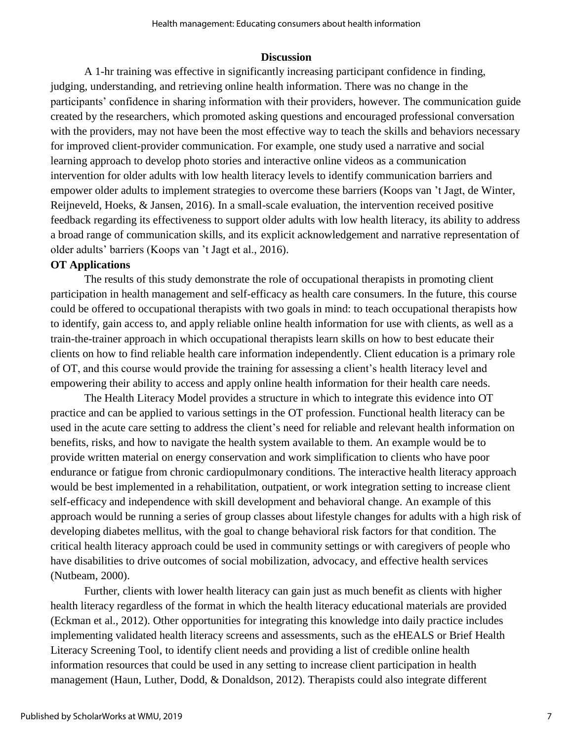## **Discussion**

A 1-hr training was effective in significantly increasing participant confidence in finding, judging, understanding, and retrieving online health information. There was no change in the participants' confidence in sharing information with their providers, however. The communication guide created by the researchers, which promoted asking questions and encouraged professional conversation with the providers, may not have been the most effective way to teach the skills and behaviors necessary for improved client-provider communication. For example, one study used a narrative and social learning approach to develop photo stories and interactive online videos as a communication intervention for older adults with low health literacy levels to identify communication barriers and empower older adults to implement strategies to overcome these barriers (Koops van 't Jagt, de Winter, Reijneveld, Hoeks, & Jansen, 2016). In a small-scale evaluation, the intervention received positive feedback regarding its effectiveness to support older adults with low health literacy, its ability to address a broad range of communication skills, and its explicit acknowledgement and narrative representation of older adults' barriers (Koops van 't Jagt et al., 2016).

## **OT Applications**

The results of this study demonstrate the role of occupational therapists in promoting client participation in health management and self-efficacy as health care consumers. In the future, this course could be offered to occupational therapists with two goals in mind: to teach occupational therapists how to identify, gain access to, and apply reliable online health information for use with clients, as well as a train-the-trainer approach in which occupational therapists learn skills on how to best educate their clients on how to find reliable health care information independently. Client education is a primary role of OT, and this course would provide the training for assessing a client's health literacy level and empowering their ability to access and apply online health information for their health care needs.

The Health Literacy Model provides a structure in which to integrate this evidence into OT practice and can be applied to various settings in the OT profession. Functional health literacy can be used in the acute care setting to address the client's need for reliable and relevant health information on benefits, risks, and how to navigate the health system available to them. An example would be to provide written material on energy conservation and work simplification to clients who have poor endurance or fatigue from chronic cardiopulmonary conditions. The interactive health literacy approach would be best implemented in a rehabilitation, outpatient, or work integration setting to increase client self-efficacy and independence with skill development and behavioral change. An example of this approach would be running a series of group classes about lifestyle changes for adults with a high risk of developing diabetes mellitus, with the goal to change behavioral risk factors for that condition. The critical health literacy approach could be used in community settings or with caregivers of people who have disabilities to drive outcomes of social mobilization, advocacy, and effective health services (Nutbeam, 2000).

Further, clients with lower health literacy can gain just as much benefit as clients with higher health literacy regardless of the format in which the health literacy educational materials are provided (Eckman et al., 2012). Other opportunities for integrating this knowledge into daily practice includes implementing validated health literacy screens and assessments, such as the eHEALS or Brief Health Literacy Screening Tool, to identify client needs and providing a list of credible online health information resources that could be used in any setting to increase client participation in health management (Haun, Luther, Dodd, & Donaldson, 2012). Therapists could also integrate different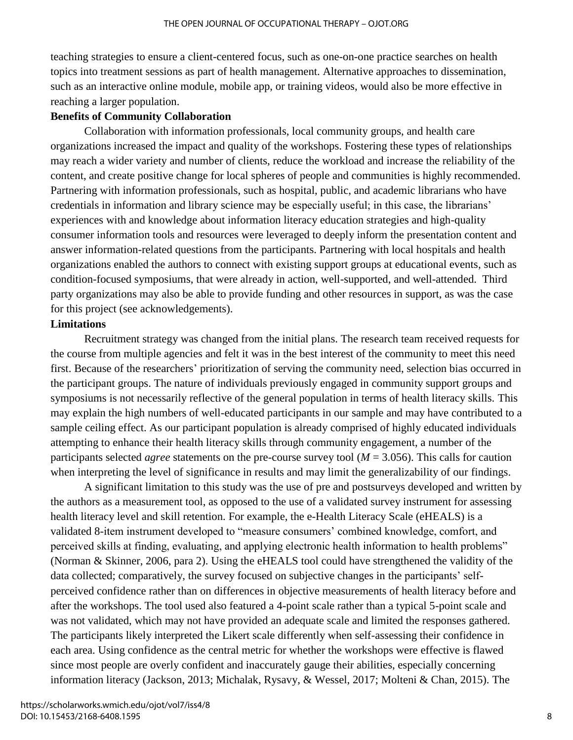teaching strategies to ensure a client-centered focus, such as one-on-one practice searches on health topics into treatment sessions as part of health management. Alternative approaches to dissemination, such as an interactive online module, mobile app, or training videos, would also be more effective in reaching a larger population.

### **Benefits of Community Collaboration**

Collaboration with information professionals, local community groups, and health care organizations increased the impact and quality of the workshops. Fostering these types of relationships may reach a wider variety and number of clients, reduce the workload and increase the reliability of the content, and create positive change for local spheres of people and communities is highly recommended. Partnering with information professionals, such as hospital, public, and academic librarians who have credentials in information and library science may be especially useful; in this case, the librarians' experiences with and knowledge about information literacy education strategies and high-quality consumer information tools and resources were leveraged to deeply inform the presentation content and answer information-related questions from the participants. Partnering with local hospitals and health organizations enabled the authors to connect with existing support groups at educational events, such as condition-focused symposiums, that were already in action, well-supported, and well-attended. Third party organizations may also be able to provide funding and other resources in support, as was the case for this project (see acknowledgements).

## **Limitations**

Recruitment strategy was changed from the initial plans. The research team received requests for the course from multiple agencies and felt it was in the best interest of the community to meet this need first. Because of the researchers' prioritization of serving the community need, selection bias occurred in the participant groups. The nature of individuals previously engaged in community support groups and symposiums is not necessarily reflective of the general population in terms of health literacy skills. This may explain the high numbers of well-educated participants in our sample and may have contributed to a sample ceiling effect. As our participant population is already comprised of highly educated individuals attempting to enhance their health literacy skills through community engagement, a number of the participants selected *agree* statements on the pre-course survey tool (*M* = 3.056). This calls for caution when interpreting the level of significance in results and may limit the generalizability of our findings.

A significant limitation to this study was the use of pre and postsurveys developed and written by the authors as a measurement tool, as opposed to the use of a validated survey instrument for assessing health literacy level and skill retention. For example, the e-Health Literacy Scale (eHEALS) is a validated 8-item instrument developed to "measure consumers' combined knowledge, comfort, and perceived skills at finding, evaluating, and applying electronic health information to health problems" (Norman & Skinner, 2006, para 2). Using the eHEALS tool could have strengthened the validity of the data collected; comparatively, the survey focused on subjective changes in the participants' selfperceived confidence rather than on differences in objective measurements of health literacy before and after the workshops. The tool used also featured a 4-point scale rather than a typical 5-point scale and was not validated, which may not have provided an adequate scale and limited the responses gathered. The participants likely interpreted the Likert scale differently when self-assessing their confidence in each area. Using confidence as the central metric for whether the workshops were effective is flawed since most people are overly confident and inaccurately gauge their abilities, especially concerning information literacy (Jackson, 2013; Michalak, Rysavy, & Wessel, 2017; Molteni & Chan, 2015). The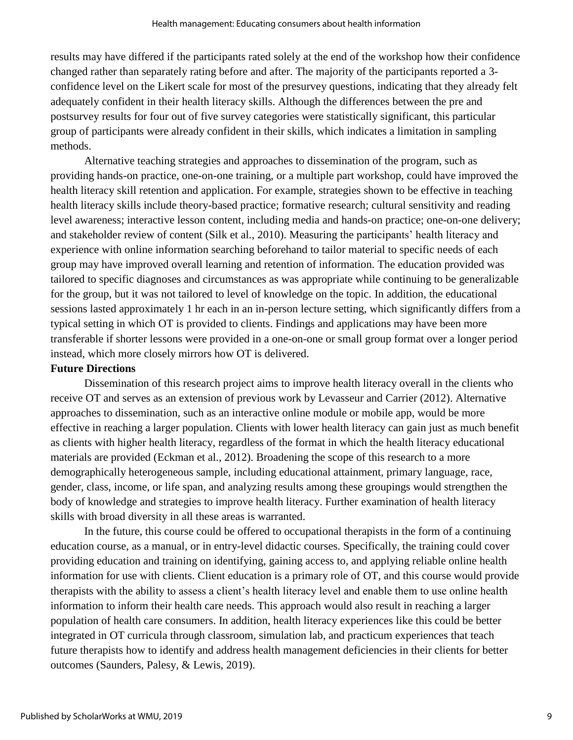results may have differed if the participants rated solely at the end of the workshop how their confidence changed rather than separately rating before and after. The majority of the participants reported a 3 confidence level on the Likert scale for most of the presurvey questions, indicating that they already felt adequately confident in their health literacy skills. Although the differences between the pre and postsurvey results for four out of five survey categories were statistically significant, this particular group of participants were already confident in their skills, which indicates a limitation in sampling methods.

Alternative teaching strategies and approaches to dissemination of the program, such as providing hands-on practice, one-on-one training, or a multiple part workshop, could have improved the health literacy skill retention and application. For example, strategies shown to be effective in teaching health literacy skills include theory-based practice; formative research; cultural sensitivity and reading level awareness; interactive lesson content, including media and hands-on practice; one-on-one delivery; and stakeholder review of content (Silk et al., 2010). Measuring the participants' health literacy and experience with online information searching beforehand to tailor material to specific needs of each group may have improved overall learning and retention of information. The education provided was tailored to specific diagnoses and circumstances as was appropriate while continuing to be generalizable for the group, but it was not tailored to level of knowledge on the topic. In addition, the educational sessions lasted approximately 1 hr each in an in-person lecture setting, which significantly differs from a typical setting in which OT is provided to clients. Findings and applications may have been more transferable if shorter lessons were provided in a one-on-one or small group format over a longer period instead, which more closely mirrors how OT is delivered.

# **Future Directions**

Dissemination of this research project aims to improve health literacy overall in the clients who receive OT and serves as an extension of previous work by Levasseur and Carrier (2012). Alternative approaches to dissemination, such as an interactive online module or mobile app, would be more effective in reaching a larger population. Clients with lower health literacy can gain just as much benefit as clients with higher health literacy, regardless of the format in which the health literacy educational materials are provided (Eckman et al., 2012). Broadening the scope of this research to a more demographically heterogeneous sample, including educational attainment, primary language, race, gender, class, income, or life span, and analyzing results among these groupings would strengthen the body of knowledge and strategies to improve health literacy. Further examination of health literacy skills with broad diversity in all these areas is warranted.

In the future, this course could be offered to occupational therapists in the form of a continuing education course, as a manual, or in entry-level didactic courses. Specifically, the training could cover providing education and training on identifying, gaining access to, and applying reliable online health information for use with clients. Client education is a primary role of OT, and this course would provide therapists with the ability to assess a client's health literacy level and enable them to use online health information to inform their health care needs. This approach would also result in reaching a larger population of health care consumers. In addition, health literacy experiences like this could be better integrated in OT curricula through classroom, simulation lab, and practicum experiences that teach future therapists how to identify and address health management deficiencies in their clients for better outcomes (Saunders, Palesy, & Lewis, 2019).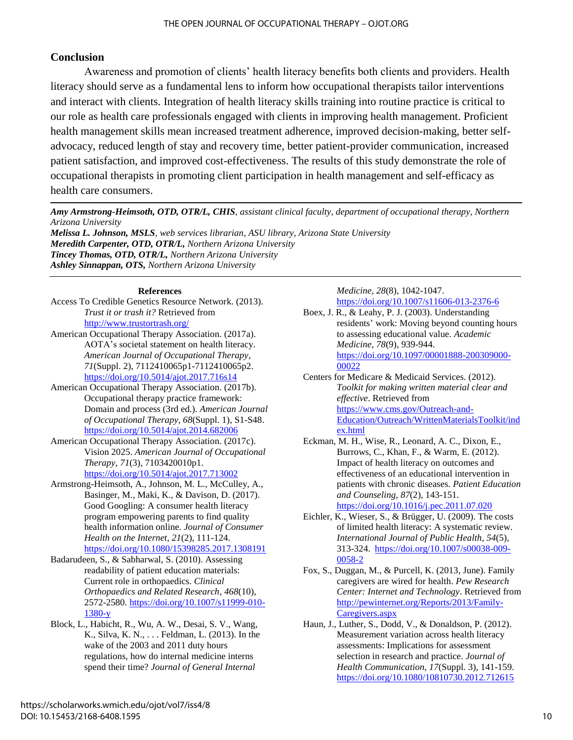# **Conclusion**

Awareness and promotion of clients' health literacy benefits both clients and providers. Health literacy should serve as a fundamental lens to inform how occupational therapists tailor interventions and interact with clients. Integration of health literacy skills training into routine practice is critical to our role as health care professionals engaged with clients in improving health management. Proficient health management skills mean increased treatment adherence, improved decision-making, better selfadvocacy, reduced length of stay and recovery time, better patient-provider communication, increased patient satisfaction, and improved cost-effectiveness. The results of this study demonstrate the role of occupational therapists in promoting client participation in health management and self-efficacy as health care consumers.

*Amy Armstrong-Heimsoth, OTD, OTR/L, CHIS, assistant clinical faculty, department of occupational therapy, Northern Arizona University*

*Melissa L. Johnson, MSLS, web services librarian, ASU library, Arizona State University Meredith Carpenter, OTD, OTR/L, Northern Arizona University Tincey Thomas, OTD, OTR/L, Northern Arizona University Ashley Sinnappan, OTS, Northern Arizona University*

#### **References**

- Access To Credible Genetics Resource Network. (2013). *Trust it or trash it?* Retrieved from <http://www.trustortrash.org/>
- American Occupational Therapy Association. (2017a). AOTA's societal statement on health literacy. *American Journal of Occupational Therapy*, *71*(Suppl. 2), 7112410065p1-7112410065p2. <https://doi.org/10.5014/ajot.2017.716s14>
- American Occupational Therapy Association. (2017b). Occupational therapy practice framework: Domain and process (3rd ed.). *American Journal of Occupational Therapy*, *68*(Suppl. 1), S1-S48. <https://doi.org/10.5014/ajot.2014.682006>
- American Occupational Therapy Association. (2017c). Vision 2025. *American Journal of Occupational Therapy*, *71*(3), 7103420010p1. <https://doi.org/10.5014/ajot.2017.713002>
- Armstrong-Heimsoth, A., Johnson, M. L., McCulley, A., Basinger, M., Maki, K., & Davison, D. (2017). Good Googling: A consumer health literacy program empowering parents to find quality health information online. *Journal of Consumer Health on the Internet*, *21*(2), 111-124. <https://doi.org/10.1080/15398285.2017.1308191>
- Badarudeen, S., & Sabharwal, S. (2010). Assessing readability of patient education materials: Current role in orthopaedics. *Clinical Orthopaedics and Related Research*, *468*(10), 2572-2580. [https://doi.org/10.1007/s11999-010-](https://doi.org/10.1007/s11999-010-1380-y) [1380-y](https://doi.org/10.1007/s11999-010-1380-y)
- Block, L., Habicht, R., Wu, A. W., Desai, S. V., Wang, K., Silva, K. N., . . . Feldman, L. (2013). In the wake of the 2003 and 2011 duty hours regulations, how do internal medicine interns spend their time? *Journal of General Internal*

### *Medicine*, *28*(8), 1042-1047. <https://doi.org/10.1007/s11606-013-2376-6>

- Boex, J. R., & Leahy, P. J. (2003). Understanding residents' work: Moving beyond counting hours to assessing educational value. *Academic Medicine*, *78*(9), 939-944. [https://doi.org/10.1097/00001888-200309000-](https://doi.org/10.1097/00001888-200309000-00022) [00022](https://doi.org/10.1097/00001888-200309000-00022)
- Centers for Medicare & Medicaid Services. (2012). *Toolkit for making written material clear and effective*. Retrieved from [https://www.cms.gov/Outreach-and-](https://www.cms.gov/Outreach-and-Education/Outreach/WrittenMaterialsToolkit/index.html)[Education/Outreach/WrittenMaterialsToolkit/ind](https://www.cms.gov/Outreach-and-Education/Outreach/WrittenMaterialsToolkit/index.html) [ex.html](https://www.cms.gov/Outreach-and-Education/Outreach/WrittenMaterialsToolkit/index.html)
- Eckman, M. H., Wise, R., Leonard, A. C., Dixon, E., Burrows, C., Khan, F., & Warm, E. (2012). Impact of health literacy on outcomes and effectiveness of an educational intervention in patients with chronic diseases. *Patient Education and Counseling*, *87*(2), 143-151. <https://doi.org/10.1016/j.pec.2011.07.020>
- Eichler, K., Wieser, S., & Brügger, U. (2009). The costs of limited health literacy: A systematic review. *International Journal of Public Health*, *54*(5), 313-324. [https://doi.org/10.1007/s00038-009-](https://doi.org/10.1007/s00038-009-0058-2) [0058-2](https://doi.org/10.1007/s00038-009-0058-2)
- Fox, S., Duggan, M., & Purcell, K. (2013, June). Family caregivers are wired for health. *Pew Research Center: Internet and Technology*. Retrieved from [http://pewinternet.org/Reports/2013/Family-](http://pewinternet.org/Reports/2013/Family-Caregivers.aspx)[Caregivers.aspx](http://pewinternet.org/Reports/2013/Family-Caregivers.aspx)
- Haun, J., Luther, S., Dodd, V., & Donaldson, P. (2012). Measurement variation across health literacy assessments: Implications for assessment selection in research and practice. *Journal of Health Communication*, *17*(Suppl. 3), 141-159. <https://doi.org/10.1080/10810730.2012.712615>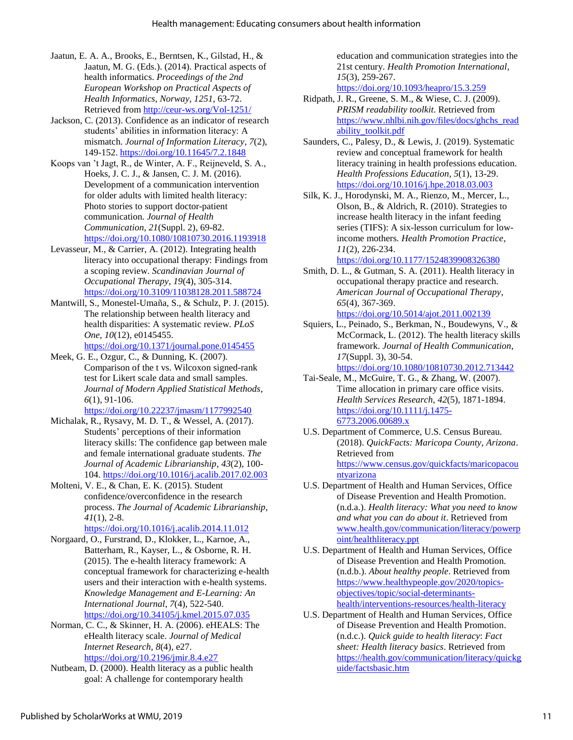- Jaatun, E. A. A., Brooks, E., Berntsen, K., Gilstad, H., & Jaatun, M. G. (Eds.). (2014). Practical aspects of health informatics. *Proceedings of the 2nd European Workshop on Practical Aspects of Health Informatics*, *Norway*, *1251*, 63-72. Retrieved from<http://ceur-ws.org/Vol-1251/>
- Jackson, C. (2013). Confidence as an indicator of research students' abilities in information literacy: A mismatch. *Journal of Information Literacy*, *7*(2), 149-152. <https://doi.org/10.11645/7.2.1848>
- Koops van 't Jagt, R., de Winter, A. F., Reijneveld, S. A., Hoeks, J. C. J., & Jansen, C. J. M. (2016). Development of a communication intervention for older adults with limited health literacy: Photo stories to support doctor-patient communication. *Journal of Health Communication*, *21*(Suppl. 2), 69-82. <https://doi.org/10.1080/10810730.2016.1193918>
- Levasseur, M., & Carrier, A. (2012). Integrating health literacy into occupational therapy: Findings from a scoping review. *Scandinavian Journal of Occupational Therapy*, *19*(4), 305-314. <https://doi.org/10.3109/11038128.2011.588724>
- Mantwill, S., Monestel-Umaña, S., & Schulz, P. J. (2015). The relationship between health literacy and health disparities: A systematic review. *PLoS One*, *10*(12), e0145455.

<https://doi.org/10.1371/journal.pone.0145455>

Meek, G. E., Ozgur, C., & Dunning, K. (2007). Comparison of the t vs. Wilcoxon signed-rank test for Likert scale data and small samples. *Journal of Modern Applied Statistical Methods*, *6*(1), 91-106.

<https://doi.org/10.22237/jmasm/1177992540>

- Michalak, R., Rysavy, M. D. T., & Wessel, A. (2017). Students' perceptions of their information literacy skills: The confidence gap between male and female international graduate students. *The Journal of Academic Librarianship*, *43*(2), 100- 104.<https://doi.org/10.1016/j.acalib.2017.02.003>
- Molteni, V. E., & Chan, E. K. (2015). Student confidence/overconfidence in the research process. *The Journal of Academic Librarianship*, *41*(1), 2-8.

<https://doi.org/10.1016/j.acalib.2014.11.012>

- Norgaard, O., Furstrand, D., Klokker, L., Karnoe, A., Batterham, R., Kayser, L., & Osborne, R. H. (2015). The e-health literacy framework: A conceptual framework for characterizing e-health users and their interaction with e-health systems. *Knowledge Management and E-Learning: An International Journal*, *7*(4), 522-540. <https://doi.org/10.34105/j.kmel.2015.07.035>
- Norman, C. C., & Skinner, H. A. (2006). eHEALS: The eHealth literacy scale. *Journal of Medical Internet Research*, *8*(4), e27. <https://doi.org/10.2196/jmir.8.4.e27>

Nutbeam, D. (2000). Health literacy as a public health goal: A challenge for contemporary health

education and communication strategies into the 21st century. *Health Promotion International*, *15*(3), 259-267. <https://doi.org/10.1093/heapro/15.3.259>

- Ridpath, J. R., Greene, S. M., & Wiese, C. J. (2009). *PRISM readability toolkit*. Retrieved from [https://www.nhlbi.nih.gov/files/docs/ghchs\\_read](https://www.nhlbi.nih.gov/files/docs/ghchs_readability_toolkit.pdf) [ability\\_toolkit.pdf](https://www.nhlbi.nih.gov/files/docs/ghchs_readability_toolkit.pdf)
- Saunders, C., Palesy, D., & Lewis, J. (2019). Systematic review and conceptual framework for health literacy training in health professions education. *Health Professions Education*, *5*(1), 13-29. <https://doi.org/10.1016/j.hpe.2018.03.003>
- Silk, K. J., Horodynski, M. A., Rienzo, M., Mercer, L., Olson, B., & Aldrich, R. (2010). Strategies to increase health literacy in the infant feeding series (TIFS): A six-lesson curriculum for lowincome mothers*. Health Promotion Practice*, *11*(2), 226-234. <https://doi.org/10.1177/1524839908326380>
- Smith, D. L., & Gutman, S. A. (2011). Health literacy in occupational therapy practice and research. *American Journal of Occupational Therapy*, *65*(4), 367-369. <https://doi.org/10.5014/ajot.2011.002139>
- Squiers, L., Peinado, S., Berkman, N., Boudewyns, V., & McCormack, L. (2012). The health literacy skills framework. *Journal of Health Communication*, *17*(Suppl. 3), 30-54.

<https://doi.org/10.1080/10810730.2012.713442>

- Tai-Seale, M., McGuire, T. G., & Zhang, W. (2007). Time allocation in primary care office visits. *Health Services Research*, *42*(5), 1871-1894. [https://doi.org/10.1111/j.1475-](https://doi.org/10.1111/j.1475-6773.2006.00689.x) [6773.2006.00689.x](https://doi.org/10.1111/j.1475-6773.2006.00689.x)
- U.S. Department of Commerce, U.S. Census Bureau. (2018). *QuickFacts: Maricopa County*, *Arizona*. Retrieved from [https://www.census.gov/quickfacts/maricopacou](https://www.census.gov/quickfacts/maricopacountyarizona) [ntyarizona](https://www.census.gov/quickfacts/maricopacountyarizona)
- U.S. Department of Health and Human Services, Office of Disease Prevention and Health Promotion. (n.d.a.). *Health literacy: What you need to know and what you can do about it*. Retrieved from [www.health.gov/communication/literacy/powerp](http://www.health.gov/communication/literacy/powerpoint/healthliteracy.ppt) [oint/healthliteracy.ppt](http://www.health.gov/communication/literacy/powerpoint/healthliteracy.ppt)
- U.S. Department of Health and Human Services, Office of Disease Prevention and Health Promotion. (n.d.b.). *About healthy people*. Retrieved from [https://www.healthypeople.gov/2020/topics](https://www.healthypeople.gov/2020/topics-objectives/topic/social-determinants-health/interventions-resources/health-literacy)[objectives/topic/social-determinants](https://www.healthypeople.gov/2020/topics-objectives/topic/social-determinants-health/interventions-resources/health-literacy)[health/interventions-resources/health-literacy](https://www.healthypeople.gov/2020/topics-objectives/topic/social-determinants-health/interventions-resources/health-literacy)
- U.S. Department of Health and Human Services, Office of Disease Prevention and Health Promotion. (n.d.c.). *Quick guide to health literacy*: *Fact sheet: Health literacy basics*. Retrieved from [https://health.gov/communication/literacy/quickg](https://health.gov/communication/literacy/quickguide/factsbasic.htm) [uide/factsbasic.htm](https://health.gov/communication/literacy/quickguide/factsbasic.htm)